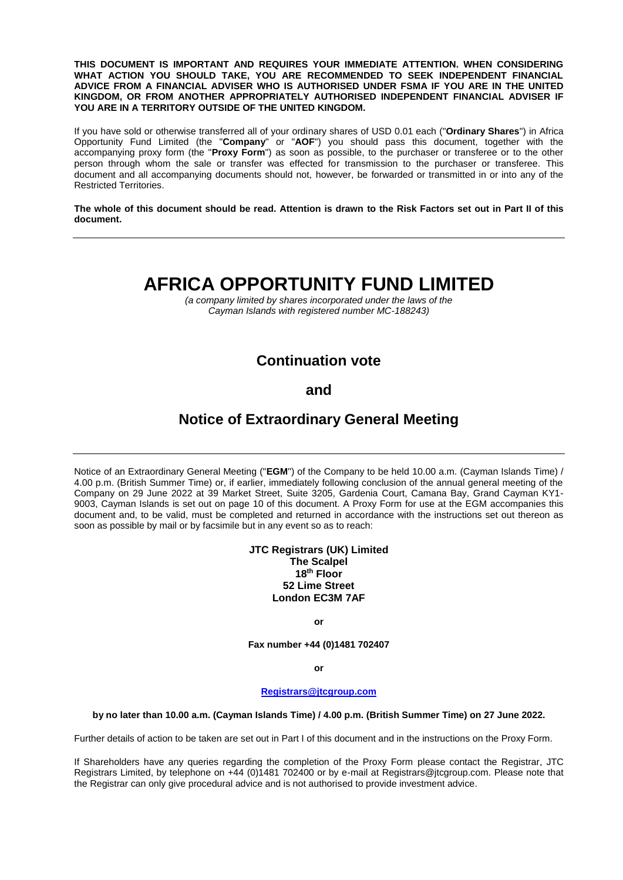**THIS DOCUMENT IS IMPORTANT AND REQUIRES YOUR IMMEDIATE ATTENTION. WHEN CONSIDERING WHAT ACTION YOU SHOULD TAKE, YOU ARE RECOMMENDED TO SEEK INDEPENDENT FINANCIAL ADVICE FROM A FINANCIAL ADVISER WHO IS AUTHORISED UNDER FSMA IF YOU ARE IN THE UNITED KINGDOM, OR FROM ANOTHER APPROPRIATELY AUTHORISED INDEPENDENT FINANCIAL ADVISER IF YOU ARE IN A TERRITORY OUTSIDE OF THE UNITED KINGDOM.**

If you have sold or otherwise transferred all of your ordinary shares of USD 0.01 each ("**Ordinary Shares**") in Africa Opportunity Fund Limited (the "**Company**" or "**AOF**") you should pass this document, together with the accompanying proxy form (the "**Proxy Form**") as soon as possible, to the purchaser or transferee or to the other person through whom the sale or transfer was effected for transmission to the purchaser or transferee. This document and all accompanying documents should not, however, be forwarded or transmitted in or into any of the Restricted Territories.

**The whole of this document should be read. Attention is drawn to the Risk Factors set out in Part II of this document.**

# **AFRICA OPPORTUNITY FUND LIMITED**

*(a company limited by shares incorporated under the laws of the Cayman Islands with registered number MC-188243)*

## **Continuation vote**

### **and**

## **Notice of Extraordinary General Meeting**

Notice of an Extraordinary General Meeting ("**EGM**") of the Company to be held 10.00 a.m. (Cayman Islands Time) / 4.00 p.m. (British Summer Time) or, if earlier, immediately following conclusion of the annual general meeting of the Company on 29 June 2022 at 39 Market Street, Suite 3205, Gardenia Court, Camana Bay, Grand Cayman KY1- 9003, Cayman Islands is set out on page 10 of this document. A Proxy Form for use at the EGM accompanies this document and, to be valid, must be completed and returned in accordance with the instructions set out thereon as soon as possible by mail or by facsimile but in any event so as to reach:

#### **JTC Registrars (UK) Limited The Scalpel 18th Floor 52 Lime Street London EC3M 7AF**

**or**

**Fax number +44 (0)1481 702407**

**or**

#### **[Registrars@jtcgroup.com](mailto:Registrars@jtcgroup.com)**

#### **by no later than 10.00 a.m. (Cayman Islands Time) / 4.00 p.m. (British Summer Time) on 27 June 2022.**

Further details of action to be taken are set out in Part I of this document and in the instructions on the Proxy Form.

If Shareholders have any queries regarding the completion of the Proxy Form please contact the Registrar, JTC Registrars Limited, by telephone on +44 (0)1481 702400 or by e-mail at Registrars@jtcgroup.com. Please note that the Registrar can only give procedural advice and is not authorised to provide investment advice.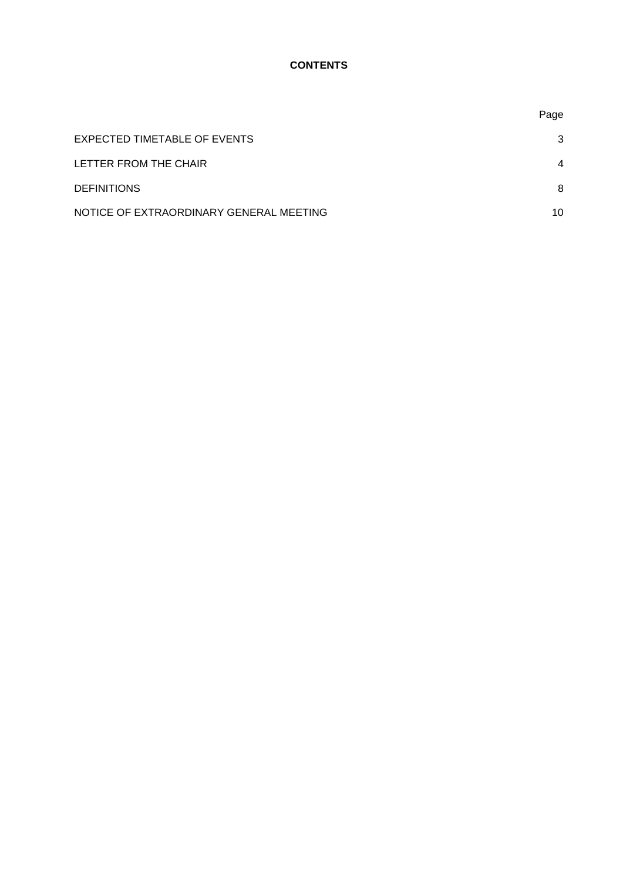### **CONTENTS**

|                                         | Page           |
|-----------------------------------------|----------------|
| EXPECTED TIMETABLE OF EVENTS            | 3              |
| LETTER FROM THE CHAIR                   | $\overline{4}$ |
| <b>DEFINITIONS</b>                      | 8              |
| NOTICE OF EXTRAORDINARY GENERAL MEETING | 10             |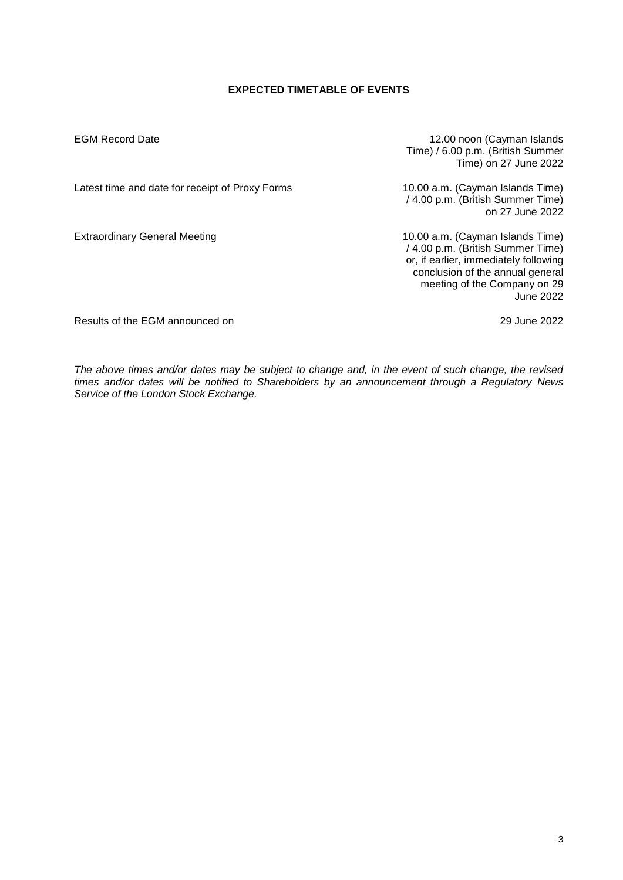#### **EXPECTED TIMETABLE OF EVENTS**

EGM Record Date 12.00 noon (Cayman Islands Time) / 6.00 p.m. (British Summer Time) on 27 June 2022

Latest time and date for receipt of Proxy Forms 10.00 a.m. (Cayman Islands Time)

/ 4.00 p.m. (British Summer Time) on 27 June 2022

Extraordinary General Meeting 10.00 a.m. (Cayman Islands Time) / 4.00 p.m. (British Summer Time) or, if earlier, immediately following conclusion of the annual general meeting of the Company on 29 June 2022

Results of the EGM announced on 29 June 2022

*The above times and/or dates may be subject to change and, in the event of such change, the revised times and/or dates will be notified to Shareholders by an announcement through a Regulatory News Service of the London Stock Exchange.*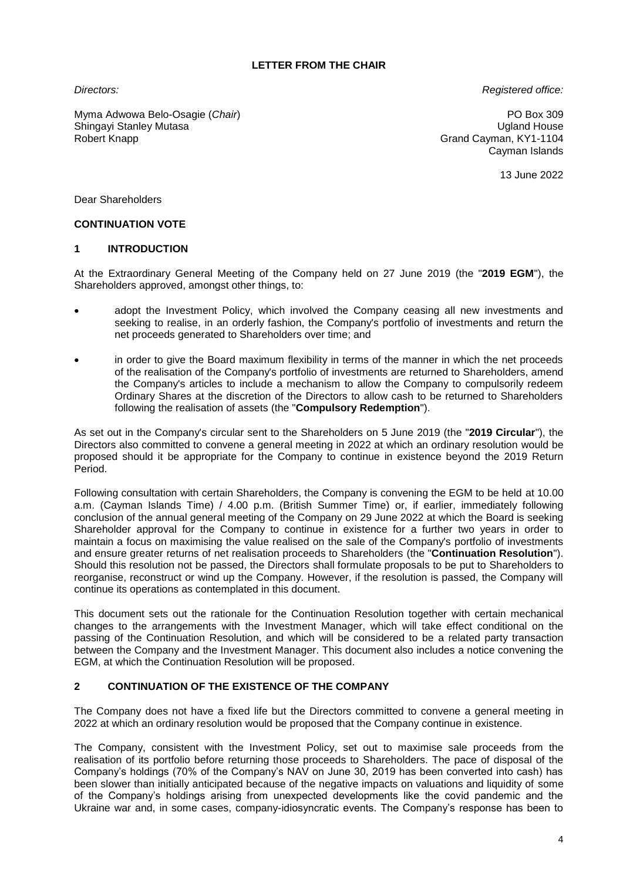#### **LETTER FROM THE CHAIR**

*Directors:*

*Registered office:*

Myma Adwowa Belo-Osagie (*Chair*) Shingayi Stanley Mutasa Robert Knapp

PO Box 309 Ugland House Grand Cayman, KY1-1104 Cayman Islands

13 June 2022

Dear Shareholders

#### **CONTINUATION VOTE**

#### **1 INTRODUCTION**

At the Extraordinary General Meeting of the Company held on 27 June 2019 (the "**2019 EGM**"), the Shareholders approved, amongst other things, to:

- adopt the Investment Policy, which involved the Company ceasing all new investments and seeking to realise, in an orderly fashion, the Company's portfolio of investments and return the net proceeds generated to Shareholders over time; and
- in order to give the Board maximum flexibility in terms of the manner in which the net proceeds of the realisation of the Company's portfolio of investments are returned to Shareholders, amend the Company's articles to include a mechanism to allow the Company to compulsorily redeem Ordinary Shares at the discretion of the Directors to allow cash to be returned to Shareholders following the realisation of assets (the "**Compulsory Redemption**").

As set out in the Company's circular sent to the Shareholders on 5 June 2019 (the "**2019 Circular**"), the Directors also committed to convene a general meeting in 2022 at which an ordinary resolution would be proposed should it be appropriate for the Company to continue in existence beyond the 2019 Return Period.

Following consultation with certain Shareholders, the Company is convening the EGM to be held at 10.00 a.m. (Cayman Islands Time) / 4.00 p.m. (British Summer Time) or, if earlier, immediately following conclusion of the annual general meeting of the Company on 29 June 2022 at which the Board is seeking Shareholder approval for the Company to continue in existence for a further two years in order to maintain a focus on maximising the value realised on the sale of the Company's portfolio of investments and ensure greater returns of net realisation proceeds to Shareholders (the "**Continuation Resolution**"). Should this resolution not be passed, the Directors shall formulate proposals to be put to Shareholders to reorganise, reconstruct or wind up the Company. However, if the resolution is passed, the Company will continue its operations as contemplated in this document.

This document sets out the rationale for the Continuation Resolution together with certain mechanical changes to the arrangements with the Investment Manager, which will take effect conditional on the passing of the Continuation Resolution, and which will be considered to be a related party transaction between the Company and the Investment Manager. This document also includes a notice convening the EGM, at which the Continuation Resolution will be proposed.

#### **2 CONTINUATION OF THE EXISTENCE OF THE COMPANY**

The Company does not have a fixed life but the Directors committed to convene a general meeting in 2022 at which an ordinary resolution would be proposed that the Company continue in existence.

The Company, consistent with the Investment Policy, set out to maximise sale proceeds from the realisation of its portfolio before returning those proceeds to Shareholders. The pace of disposal of the Company's holdings (70% of the Company's NAV on June 30, 2019 has been converted into cash) has been slower than initially anticipated because of the negative impacts on valuations and liquidity of some of the Company's holdings arising from unexpected developments like the covid pandemic and the Ukraine war and, in some cases, company-idiosyncratic events. The Company's response has been to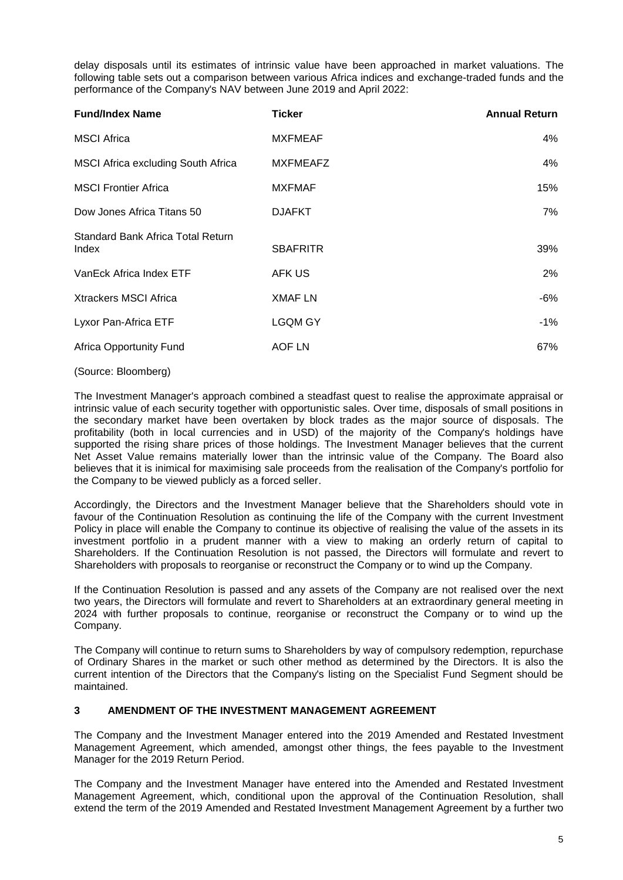delay disposals until its estimates of intrinsic value have been approached in market valuations. The following table sets out a comparison between various Africa indices and exchange-traded funds and the performance of the Company's NAV between June 2019 and April 2022:

| <b>Ticker</b>   | <b>Annual Return</b> |
|-----------------|----------------------|
| <b>MXFMEAF</b>  | 4%                   |
| <b>MXFMEAFZ</b> | 4%                   |
| <b>MXFMAF</b>   | 15%                  |
| <b>DJAFKT</b>   | 7%                   |
| <b>SBAFRITR</b> | 39%                  |
| AFK US          | $2\%$                |
| <b>XMAF LN</b>  | -6%                  |
| <b>LGQM GY</b>  | -1%                  |
| AOF LN          | 67%                  |
|                 |                      |

#### (Source: Bloomberg)

The Investment Manager's approach combined a steadfast quest to realise the approximate appraisal or intrinsic value of each security together with opportunistic sales. Over time, disposals of small positions in the secondary market have been overtaken by block trades as the major source of disposals. The profitability (both in local currencies and in USD) of the majority of the Company's holdings have supported the rising share prices of those holdings. The Investment Manager believes that the current Net Asset Value remains materially lower than the intrinsic value of the Company. The Board also believes that it is inimical for maximising sale proceeds from the realisation of the Company's portfolio for the Company to be viewed publicly as a forced seller.

Accordingly, the Directors and the Investment Manager believe that the Shareholders should vote in favour of the Continuation Resolution as continuing the life of the Company with the current Investment Policy in place will enable the Company to continue its objective of realising the value of the assets in its investment portfolio in a prudent manner with a view to making an orderly return of capital to Shareholders. If the Continuation Resolution is not passed, the Directors will formulate and revert to Shareholders with proposals to reorganise or reconstruct the Company or to wind up the Company.

If the Continuation Resolution is passed and any assets of the Company are not realised over the next two years, the Directors will formulate and revert to Shareholders at an extraordinary general meeting in 2024 with further proposals to continue, reorganise or reconstruct the Company or to wind up the Company.

The Company will continue to return sums to Shareholders by way of compulsory redemption, repurchase of Ordinary Shares in the market or such other method as determined by the Directors. It is also the current intention of the Directors that the Company's listing on the Specialist Fund Segment should be maintained.

#### **3 AMENDMENT OF THE INVESTMENT MANAGEMENT AGREEMENT**

The Company and the Investment Manager entered into the 2019 Amended and Restated Investment Management Agreement, which amended, amongst other things, the fees payable to the Investment Manager for the 2019 Return Period.

The Company and the Investment Manager have entered into the Amended and Restated Investment Management Agreement, which, conditional upon the approval of the Continuation Resolution, shall extend the term of the 2019 Amended and Restated Investment Management Agreement by a further two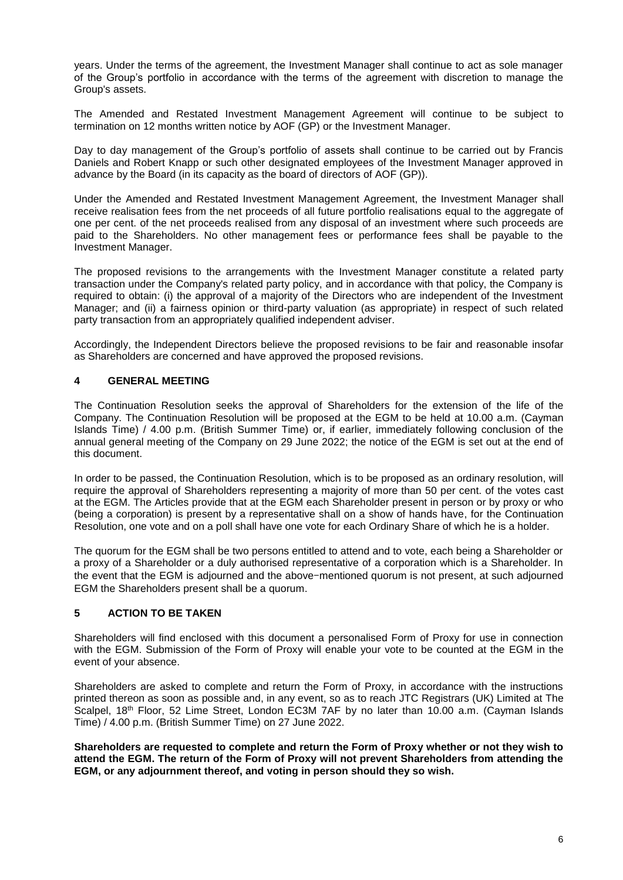years. Under the terms of the agreement, the Investment Manager shall continue to act as sole manager of the Group's portfolio in accordance with the terms of the agreement with discretion to manage the Group's assets.

The Amended and Restated Investment Management Agreement will continue to be subject to termination on 12 months written notice by AOF (GP) or the Investment Manager.

Day to day management of the Group's portfolio of assets shall continue to be carried out by Francis Daniels and Robert Knapp or such other designated employees of the Investment Manager approved in advance by the Board (in its capacity as the board of directors of AOF (GP)).

Under the Amended and Restated Investment Management Agreement, the Investment Manager shall receive realisation fees from the net proceeds of all future portfolio realisations equal to the aggregate of one per cent. of the net proceeds realised from any disposal of an investment where such proceeds are paid to the Shareholders. No other management fees or performance fees shall be payable to the Investment Manager.

The proposed revisions to the arrangements with the Investment Manager constitute a related party transaction under the Company's related party policy, and in accordance with that policy, the Company is required to obtain: (i) the approval of a majority of the Directors who are independent of the Investment Manager; and (ii) a fairness opinion or third-party valuation (as appropriate) in respect of such related party transaction from an appropriately qualified independent adviser.

Accordingly, the Independent Directors believe the proposed revisions to be fair and reasonable insofar as Shareholders are concerned and have approved the proposed revisions.

#### **4 GENERAL MEETING**

The Continuation Resolution seeks the approval of Shareholders for the extension of the life of the Company. The Continuation Resolution will be proposed at the EGM to be held at 10.00 a.m. (Cayman Islands Time) / 4.00 p.m. (British Summer Time) or, if earlier, immediately following conclusion of the annual general meeting of the Company on 29 June 2022; the notice of the EGM is set out at the end of this document.

In order to be passed, the Continuation Resolution, which is to be proposed as an ordinary resolution, will require the approval of Shareholders representing a majority of more than 50 per cent. of the votes cast at the EGM. The Articles provide that at the EGM each Shareholder present in person or by proxy or who (being a corporation) is present by a representative shall on a show of hands have, for the Continuation Resolution, one vote and on a poll shall have one vote for each Ordinary Share of which he is a holder.

The quorum for the EGM shall be two persons entitled to attend and to vote, each being a Shareholder or a proxy of a Shareholder or a duly authorised representative of a corporation which is a Shareholder. In the event that the EGM is adjourned and the above-mentioned quorum is not present, at such adjourned EGM the Shareholders present shall be a quorum.

#### **5 ACTION TO BE TAKEN**

Shareholders will find enclosed with this document a personalised Form of Proxy for use in connection with the EGM. Submission of the Form of Proxy will enable your vote to be counted at the EGM in the event of your absence.

Shareholders are asked to complete and return the Form of Proxy, in accordance with the instructions printed thereon as soon as possible and, in any event, so as to reach JTC Registrars (UK) Limited at The Scalpel, 18<sup>th</sup> Floor, 52 Lime Street, London EC3M 7AF by no later than 10.00 a.m. (Cayman Islands Time) / 4.00 p.m. (British Summer Time) on 27 June 2022.

**Shareholders are requested to complete and return the Form of Proxy whether or not they wish to attend the EGM. The return of the Form of Proxy will not prevent Shareholders from attending the EGM, or any adjournment thereof, and voting in person should they so wish.**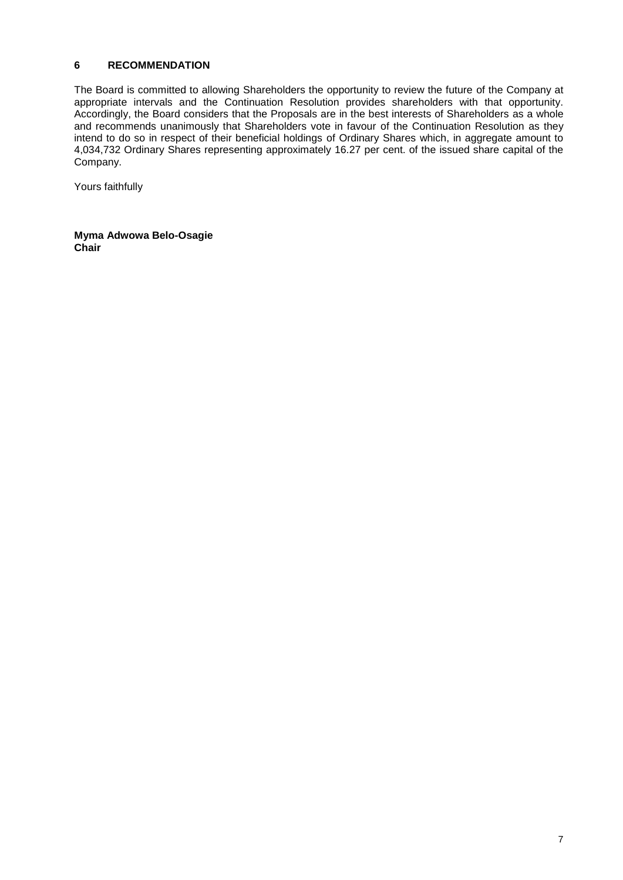#### **6 RECOMMENDATION**

The Board is committed to allowing Shareholders the opportunity to review the future of the Company at appropriate intervals and the Continuation Resolution provides shareholders with that opportunity. Accordingly, the Board considers that the Proposals are in the best interests of Shareholders as a whole and recommends unanimously that Shareholders vote in favour of the Continuation Resolution as they intend to do so in respect of their beneficial holdings of Ordinary Shares which, in aggregate amount to 4,034,732 Ordinary Shares representing approximately 16.27 per cent. of the issued share capital of the Company.

Yours faithfully

**Myma Adwowa Belo-Osagie Chair**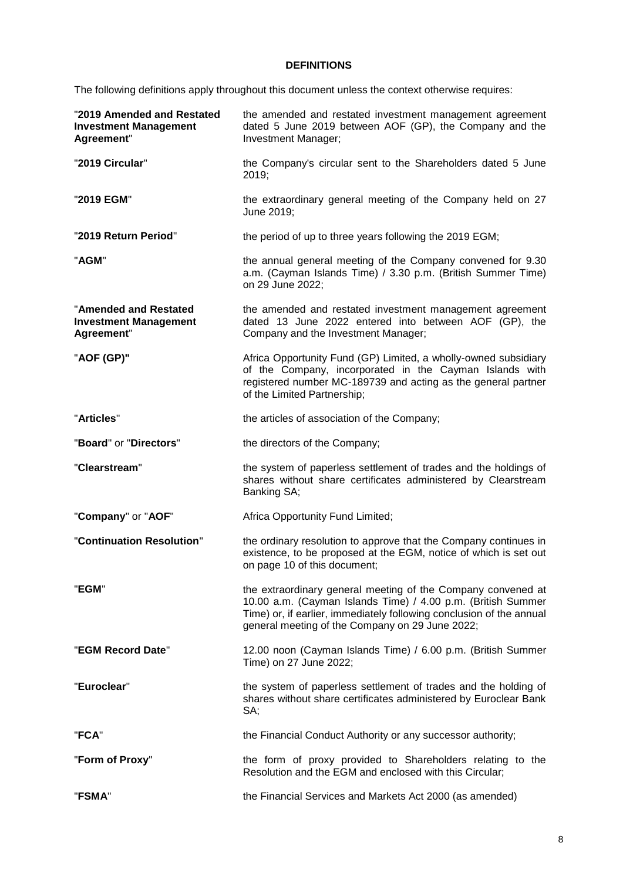## **DEFINITIONS**

The following definitions apply throughout this document unless the context otherwise requires:

| "2019 Amended and Restated<br><b>Investment Management</b><br>Agreement" | the amended and restated investment management agreement<br>dated 5 June 2019 between AOF (GP), the Company and the<br>Investment Manager;                                                                                                              |
|--------------------------------------------------------------------------|---------------------------------------------------------------------------------------------------------------------------------------------------------------------------------------------------------------------------------------------------------|
| "2019 Circular"                                                          | the Company's circular sent to the Shareholders dated 5 June<br>2019;                                                                                                                                                                                   |
| "2019 EGM"                                                               | the extraordinary general meeting of the Company held on 27<br>June 2019;                                                                                                                                                                               |
| "2019 Return Period"                                                     | the period of up to three years following the 2019 EGM;                                                                                                                                                                                                 |
| "AGM"                                                                    | the annual general meeting of the Company convened for 9.30<br>a.m. (Cayman Islands Time) / 3.30 p.m. (British Summer Time)<br>on 29 June 2022;                                                                                                         |
| "Amended and Restated<br><b>Investment Management</b><br>Agreement"      | the amended and restated investment management agreement<br>dated 13 June 2022 entered into between AOF (GP), the<br>Company and the Investment Manager;                                                                                                |
| "AOF (GP)"                                                               | Africa Opportunity Fund (GP) Limited, a wholly-owned subsidiary<br>of the Company, incorporated in the Cayman Islands with<br>registered number MC-189739 and acting as the general partner<br>of the Limited Partnership;                              |
| "Articles"                                                               | the articles of association of the Company;                                                                                                                                                                                                             |
| "Board" or "Directors"                                                   | the directors of the Company;                                                                                                                                                                                                                           |
| "Clearstream"                                                            | the system of paperless settlement of trades and the holdings of<br>shares without share certificates administered by Clearstream<br>Banking SA;                                                                                                        |
| "Company" or "AOF"                                                       | Africa Opportunity Fund Limited;                                                                                                                                                                                                                        |
| "Continuation Resolution"                                                | the ordinary resolution to approve that the Company continues in<br>existence, to be proposed at the EGM, notice of which is set out<br>on page 10 of this document;                                                                                    |
| "EGM"                                                                    | the extraordinary general meeting of the Company convened at<br>10.00 a.m. (Cayman Islands Time) / 4.00 p.m. (British Summer<br>Time) or, if earlier, immediately following conclusion of the annual<br>general meeting of the Company on 29 June 2022; |
| "EGM Record Date"                                                        | 12.00 noon (Cayman Islands Time) / 6.00 p.m. (British Summer<br>Time) on 27 June 2022;                                                                                                                                                                  |
| "Euroclear"                                                              | the system of paperless settlement of trades and the holding of<br>shares without share certificates administered by Euroclear Bank<br>SA;                                                                                                              |
| "FCA"                                                                    | the Financial Conduct Authority or any successor authority;                                                                                                                                                                                             |
| "Form of Proxy"                                                          | the form of proxy provided to Shareholders relating to the<br>Resolution and the EGM and enclosed with this Circular;                                                                                                                                   |
| "FSMA"                                                                   | the Financial Services and Markets Act 2000 (as amended)                                                                                                                                                                                                |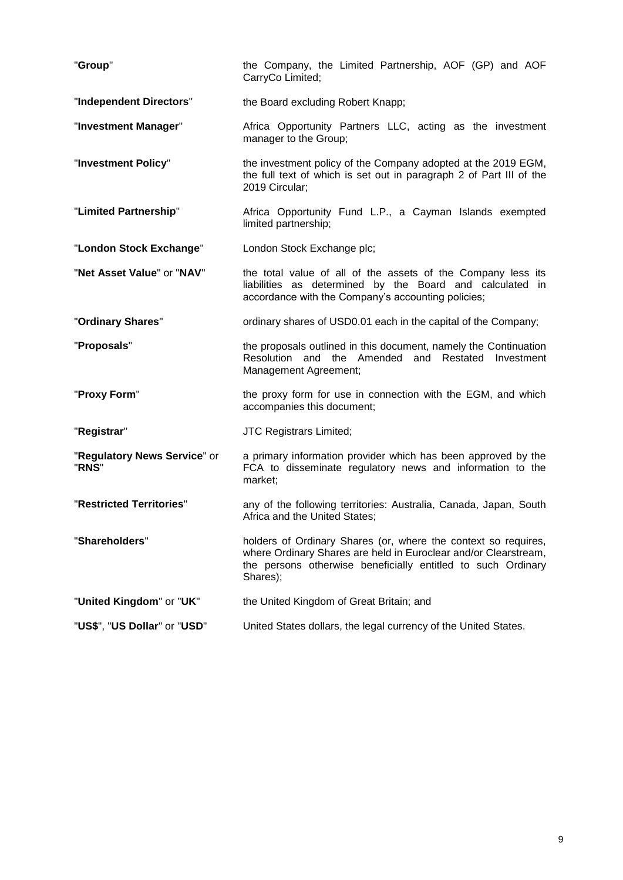| "Group"                               | the Company, the Limited Partnership, AOF (GP) and AOF<br>CarryCo Limited;                                                                                                                                    |
|---------------------------------------|---------------------------------------------------------------------------------------------------------------------------------------------------------------------------------------------------------------|
| "Independent Directors"               | the Board excluding Robert Knapp;                                                                                                                                                                             |
| "Investment Manager"                  | Africa Opportunity Partners LLC, acting as the investment<br>manager to the Group;                                                                                                                            |
| "Investment Policy"                   | the investment policy of the Company adopted at the 2019 EGM,<br>the full text of which is set out in paragraph 2 of Part III of the<br>2019 Circular;                                                        |
| "Limited Partnership"                 | Africa Opportunity Fund L.P., a Cayman Islands exempted<br>limited partnership;                                                                                                                               |
| "London Stock Exchange"               | London Stock Exchange plc;                                                                                                                                                                                    |
| "Net Asset Value" or "NAV"            | the total value of all of the assets of the Company less its<br>liabilities as determined by the Board and calculated in<br>accordance with the Company's accounting policies;                                |
| "Ordinary Shares"                     | ordinary shares of USD0.01 each in the capital of the Company;                                                                                                                                                |
| "Proposals"                           | the proposals outlined in this document, namely the Continuation<br>Resolution and the Amended and Restated<br>Investment<br>Management Agreement;                                                            |
| "Proxy Form"                          | the proxy form for use in connection with the EGM, and which<br>accompanies this document;                                                                                                                    |
| "Registrar"                           | <b>JTC Registrars Limited;</b>                                                                                                                                                                                |
| "Regulatory News Service" or<br>"RNS" | a primary information provider which has been approved by the<br>FCA to disseminate regulatory news and information to the<br>market;                                                                         |
| "Restricted Territories"              | any of the following territories: Australia, Canada, Japan, South<br>Africa and the United States:                                                                                                            |
| "Shareholders"                        | holders of Ordinary Shares (or, where the context so requires,<br>where Ordinary Shares are held in Euroclear and/or Clearstream,<br>the persons otherwise beneficially entitled to such Ordinary<br>Shares); |
| "United Kingdom" or "UK"              | the United Kingdom of Great Britain; and                                                                                                                                                                      |
| "US\$", "US Dollar" or "USD"          | United States dollars, the legal currency of the United States.                                                                                                                                               |